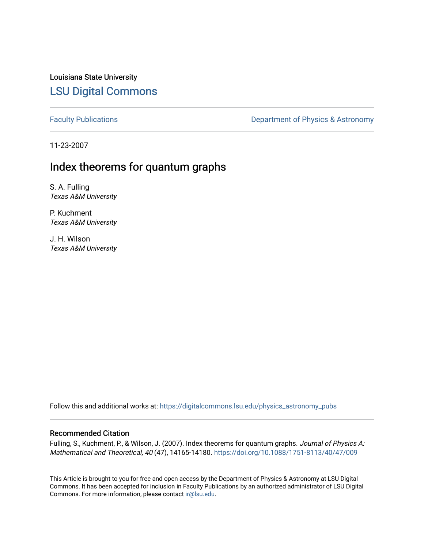Louisiana State University [LSU Digital Commons](https://digitalcommons.lsu.edu/)

[Faculty Publications](https://digitalcommons.lsu.edu/physics_astronomy_pubs) **Exercise 2** Constant Department of Physics & Astronomy

11-23-2007

# Index theorems for quantum graphs

S. A. Fulling Texas A&M University

P. Kuchment Texas A&M University

J. H. Wilson Texas A&M University

Follow this and additional works at: [https://digitalcommons.lsu.edu/physics\\_astronomy\\_pubs](https://digitalcommons.lsu.edu/physics_astronomy_pubs?utm_source=digitalcommons.lsu.edu%2Fphysics_astronomy_pubs%2F5810&utm_medium=PDF&utm_campaign=PDFCoverPages) 

# Recommended Citation

Fulling, S., Kuchment, P., & Wilson, J. (2007). Index theorems for quantum graphs. Journal of Physics A: Mathematical and Theoretical, 40 (47), 14165-14180.<https://doi.org/10.1088/1751-8113/40/47/009>

This Article is brought to you for free and open access by the Department of Physics & Astronomy at LSU Digital Commons. It has been accepted for inclusion in Faculty Publications by an authorized administrator of LSU Digital Commons. For more information, please contact [ir@lsu.edu](mailto:ir@lsu.edu).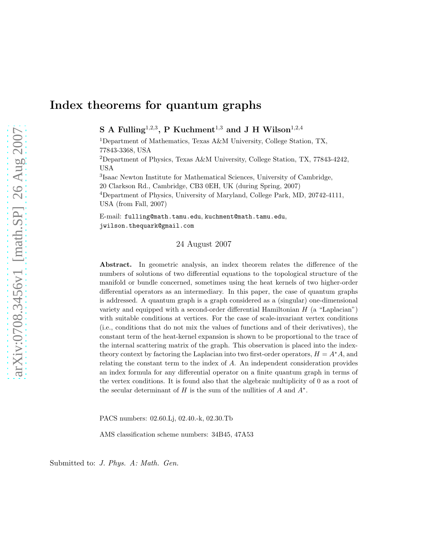# Index theorems for quantum graphs

S A Fulling<sup>1,2,3</sup>, P Kuchment<sup>1,3</sup> and J H Wilson<sup>1,2,4</sup>

<sup>1</sup>Department of Mathematics, Texas A&M University, College Station, TX, 77843-3368, USA

<sup>2</sup>Department of Physics, Texas A&M University, College Station, TX, 77843-4242, USA

3 Isaac Newton Institute for Mathematical Sciences, University of Cambridge, 20 Clarkson Rd., Cambridge, CB3 0EH, UK (during Spring, 2007) <sup>4</sup>Department of Physics, University of Maryland, College Park, MD, 20742-4111, USA (from Fall, 2007)

E-mail: fulling@math.tamu.edu, kuchment@math.tamu.edu, jwilson.thequark@gmail.com

#### 24 August 2007

Abstract. In geometric analysis, an index theorem relates the difference of the numbers of solutions of two differential equations to the topological structure of the manifold or bundle concerned, sometimes using the heat kernels of two higher-order differential operators as an intermediary. In this paper, the case of quantum graphs is addressed. A quantum graph is a graph considered as a (singular) one-dimensional variety and equipped with a second-order differential Hamiltonian  $H$  (a "Laplacian") with suitable conditions at vertices. For the case of scale-invariant vertex conditions (i.e., conditions that do not mix the values of functions and of their derivatives), the constant term of the heat-kernel expansion is shown to be proportional to the trace of the internal scattering matrix of the graph. This observation is placed into the indextheory context by factoring the Laplacian into two first-order operators,  $H = A^*A$ , and relating the constant term to the index of A. An independent consideration provides an index formula for any differential operator on a finite quantum graph in terms of the vertex conditions. It is found also that the algebraic multiplicity of 0 as a root of the secular determinant of  $H$  is the sum of the nullities of  $A$  and  $A^*$ .

PACS numbers: 02.60.Lj, 02.40.-k, 02.30.Tb

AMS classification scheme numbers: 34B45, 47A53

Submitted to: *J. Phys. A: Math. Gen.*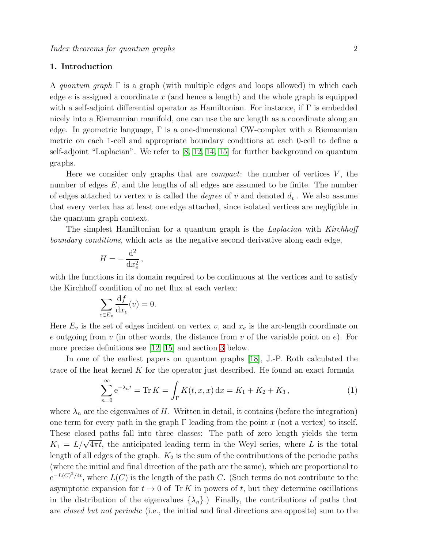## <span id="page-2-1"></span>1. Introduction

A quantum graph  $\Gamma$  is a graph (with multiple edges and loops allowed) in which each edge  $e$  is assigned a coordinate x (and hence a length) and the whole graph is equipped with a self-adjoint differential operator as Hamiltonian. For instance, if  $\Gamma$  is embedded nicely into a Riemannian manifold, one can use the arc length as a coordinate along an edge. In geometric language,  $\Gamma$  is a one-dimensional CW-complex with a Riemannian metric on each 1-cell and appropriate boundary conditions at each 0-cell to define a self-adjoint "Laplacian". We refer to [\[8,](#page-18-0) [12,](#page-18-1) [14,](#page-18-2) [15\]](#page-18-3) for further background on quantum graphs.

Here we consider only graphs that are *compact*: the number of vertices  $V$ , the number of edges E, and the lengths of all edges are assumed to be finite. The number of edges attached to vertex v is called the *degree* of v and denoted  $d_v$ . We also assume that every vertex has at least one edge attached, since isolated vertices are negligible in the quantum graph context.

The simplest Hamiltonian for a quantum graph is the Laplacian with Kirchhoff boundary conditions, which acts as the negative second derivative along each edge,

$$
H = -\frac{\mathrm{d}^2}{\mathrm{d}x_e^2},
$$

with the functions in its domain required to be continuous at the vertices and to satisfy the Kirchhoff condition of no net flux at each vertex:

$$
\sum_{e \in E_v} \frac{\mathrm{d}f}{\mathrm{d}x_e}(v) = 0.
$$

Here  $E_v$  is the set of edges incident on vertex v, and  $x_e$  is the arc-length coordinate on e outgoing from v (in other words, the distance from v of the variable point on e). For more precise definitions see [\[12,](#page-18-1) [15\]](#page-18-3) and section [3](#page-4-0) below.

In one of the earliest papers on quantum graphs [\[18\]](#page-18-4), J.-P. Roth calculated the trace of the heat kernel  $K$  for the operator just described. He found an exact formula

<span id="page-2-0"></span>
$$
\sum_{n=0}^{\infty} e^{-\lambda_n t} = \text{Tr}\, K = \int_{\Gamma} K(t, x, x) \, dx = K_1 + K_2 + K_3, \tag{1}
$$

where  $\lambda_n$  are the eigenvalues of H. Written in detail, it contains (before the integration) one term for every path in the graph  $\Gamma$  leading from the point x (not a vertex) to itself. These closed paths fall into three classes: The path of zero length yields the term  $K_1 = L/\sqrt{4\pi t}$ , the anticipated leading term in the Weyl series, where L is the total length of all edges of the graph.  $K_2$  is the sum of the contributions of the periodic paths (where the initial and final direction of the path are the same), which are proportional to  $e^{-L(C)^2/4t}$ , where  $L(C)$  is the length of the path C. (Such terms do not contribute to the asymptotic expansion for  $t \to 0$  of Tr K in powers of t, but they determine oscillations in the distribution of the eigenvalues  $\{\lambda_n\}$ .) Finally, the contributions of paths that are *closed but not periodic* (i.e., the initial and final directions are opposite) sum to the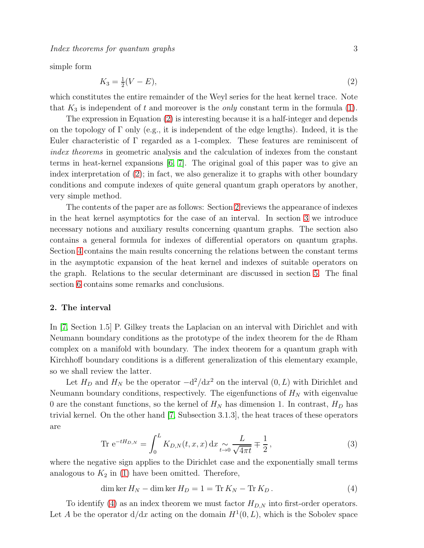Index theorems for quantum graphs 3

simple form

<span id="page-3-0"></span>
$$
K_3 = \frac{1}{2}(V - E),\tag{2}
$$

which constitutes the entire remainder of the Weyl series for the heat kernel trace. Note that  $K_3$  is independent of t and moreover is the *only* constant term in the formula [\(1\)](#page-2-0).

The expression in Equation [\(2\)](#page-3-0) is interesting because it is a half-integer and depends on the topology of  $\Gamma$  only (e.g., it is independent of the edge lengths). Indeed, it is the Euler characteristic of Γ regarded as a 1-complex. These features are reminiscent of index theorems in geometric analysis and the calculation of indexes from the constant terms in heat-kernel expansions [\[6,](#page-18-5) [7\]](#page-18-6). The original goal of this paper was to give an index interpretation of [\(2\)](#page-3-0); in fact, we also generalize it to graphs with other boundary conditions and compute indexes of quite general quantum graph operators by another, very simple method.

The contents of the paper are as follows: Section [2](#page-3-1) reviews the appearance of indexes in the heat kernel asymptotics for the case of an interval. In section [3](#page-4-0) we introduce necessary notions and auxiliary results concerning quantum graphs. The section also contains a general formula for indexes of differential operators on quantum graphs. Section [4](#page-11-0) contains the main results concerning the relations between the constant terms in the asymptotic expansion of the heat kernel and indexes of suitable operators on the graph. Relations to the secular determinant are discussed in section [5.](#page-15-0) The final section [6](#page-16-0) contains some remarks and conclusions.

### <span id="page-3-1"></span>2. The interval

In [\[7,](#page-18-6) Section 1.5] P. Gilkey treats the Laplacian on an interval with Dirichlet and with Neumann boundary conditions as the prototype of the index theorem for the de Rham complex on a manifold with boundary. The index theorem for a quantum graph with Kirchhoff boundary conditions is a different generalization of this elementary example, so we shall review the latter.

Let  $H_D$  and  $H_N$  be the operator  $-\frac{d^2}{dx^2}$  on the interval  $(0, L)$  with Dirichlet and Neumann boundary conditions, respectively. The eigenfunctions of  $H_N$  with eigenvalue 0 are the constant functions, so the kernel of  $H_N$  has dimension 1. In contrast,  $H_D$  has trivial kernel. On the other hand [\[7,](#page-18-6) Subsection 3.1.3], the heat traces of these operators are

Tr 
$$
e^{-tH_{D,N}} = \int_0^L K_{D,N}(t, x, x) dx \underset{t \to 0}{\sim} \frac{L}{\sqrt{4\pi t}} \mp \frac{1}{2},
$$
 (3)

where the negative sign applies to the Dirichlet case and the exponentially small terms analogous to  $K_2$  in [\(1\)](#page-2-0) have been omitted. Therefore,

<span id="page-3-2"></span>dim ker  $H_N - \dim \ker H_D = 1 = \text{Tr } K_N - \text{Tr } K_D$ . (4)

To identify [\(4\)](#page-3-2) as an index theorem we must factor  $H_{D,N}$  into first-order operators. Let A be the operator  $d/dx$  acting on the domain  $H^1(0,L)$ , which is the Sobolev space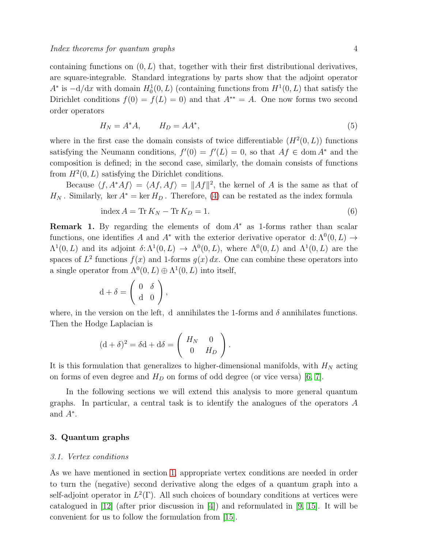containing functions on  $(0, L)$  that, together with their first distributional derivatives, are square-integrable. Standard integrations by parts show that the adjoint operator  $A^*$  is  $-\mathrm{d}/\mathrm{d}x$  with domain  $H_0^1(0,L)$  (containing functions from  $H^1(0,L)$  that satisfy the Dirichlet conditions  $f(0) = f(L) = 0$  and that  $A^{**} = A$ . One now forms two second order operators

$$
H_N = A^* A, \qquad H_D = A A^*, \tag{5}
$$

where in the first case the domain consists of twice differentiable  $(H^2(0,L))$  functions satisfying the Neumann conditions,  $f'(0) = f'(L) = 0$ , so that  $Af \in \text{dom } A^*$  and the composition is defined; in the second case, similarly, the domain consists of functions from  $H^2(0,L)$  satisfying the Dirichlet conditions.

Because  $\langle f, A^*A f \rangle = \langle Af, Af \rangle = ||Af||^2$ , the kernel of A is the same as that of  $H_N$ . Similarly, ker  $A^* = \ker H_D$ . Therefore, [\(4\)](#page-3-2) can be restated as the index formula

$$
\text{index } A = \text{Tr } K_N - \text{Tr } K_D = 1. \tag{6}
$$

**Remark 1.** By regarding the elements of dom  $A^*$  as 1-forms rather than scalar functions, one identifies A and  $A^*$  with the exterior derivative operator d:  $\Lambda^0(0,L) \to$  $\Lambda^1(0,L)$  and its adjoint  $\delta: \Lambda^1(0,L) \to \Lambda^0(0,L)$ , where  $\Lambda^0(0,L)$  and  $\Lambda^1(0,L)$  are the spaces of  $L^2$  functions  $f(x)$  and 1-forms  $g(x) dx$ . One can combine these operators into a single operator from  $\Lambda^0(0,L) \oplus \Lambda^1(0,L)$  into itself,

$$
d + \delta = \left(\begin{array}{cc} 0 & \delta \\ d & 0 \end{array}\right),
$$

where, in the version on the left, d annihilates the 1-forms and  $\delta$  annihilates functions. Then the Hodge Laplacian is

$$
(\mathrm{d} + \delta)^2 = \delta \mathrm{d} + \mathrm{d}\delta = \left(\begin{array}{cc} H_N & 0 \\ 0 & H_D \end{array}\right).
$$

It is this formulation that generalizes to higher-dimensional manifolds, with  $H_N$  acting on forms of even degree and  $H_D$  on forms of odd degree (or vice versa) [\[6,](#page-18-5) [7\]](#page-18-6).

In the following sections we will extend this analysis to more general quantum graphs. In particular, a central task is to identify the analogues of the operators A and  $A^*$ .

## <span id="page-4-0"></span>3. Quantum graphs

#### 3.1. Vertex conditions

As we have mentioned in section [1,](#page-2-1) appropriate vertex conditions are needed in order to turn the (negative) second derivative along the edges of a quantum graph into a self-adjoint operator in  $L^2(\Gamma)$ . All such choices of boundary conditions at vertices were catalogued in [\[12\]](#page-18-1) (after prior discussion in [\[4\]](#page-18-7)) and reformulated in [\[9,](#page-18-8) [15\]](#page-18-3). It will be convenient for us to follow the formulation from [\[15\]](#page-18-3).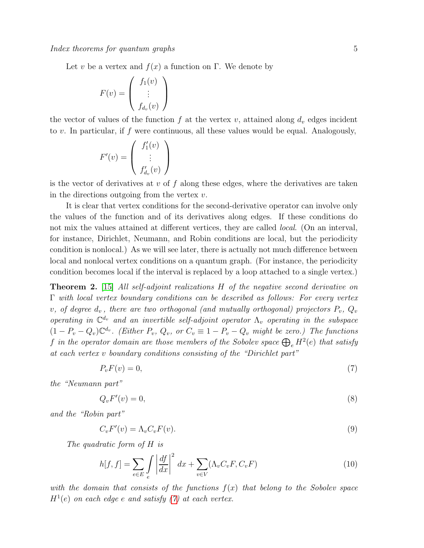Let v be a vertex and  $f(x)$  a function on Γ. We denote by

$$
F(v) = \left(\begin{array}{c} f_1(v) \\ \vdots \\ f_{d_v}(v) \end{array}\right)
$$

the vector of values of the function f at the vertex v, attained along  $d_v$  edges incident to v. In particular, if f were continuous, all these values would be equal. Analogously,

$$
F'(v) = \begin{pmatrix} f'_1(v) \\ \vdots \\ f'_{d_v}(v) \end{pmatrix}
$$

is the vector of derivatives at  $v$  of  $f$  along these edges, where the derivatives are taken in the directions outgoing from the vertex  $v$ .

It is clear that vertex conditions for the second-derivative operator can involve only the values of the function and of its derivatives along edges. If these conditions do not mix the values attained at different vertices, they are called *local.* (On an interval, for instance, Dirichlet, Neumann, and Robin conditions are local, but the periodicity condition is nonlocal.) As we will see later, there is actually not much difference between local and nonlocal vertex conditions on a quantum graph. (For instance, the periodicity condition becomes local if the interval is replaced by a loop attached to a single vertex.)

<span id="page-5-2"></span>**Theorem 2.** [\[15\]](#page-18-3) All self-adjoint realizations  $H$  of the negative second derivative on  $\Gamma$  with local vertex boundary conditions can be described as follows: For every vertex v, of degree  $d_v$ , there are two orthogonal (and mutually orthogonal) projectors  $P_v$ ,  $Q_v$ operating in  $\mathbb{C}^{d_v}$  and an invertible self-adjoint operator  $\Lambda_v$  operating in the subspace  $(1 - P_v - Q_v)\mathbb{C}^{d_v}$ . (Either  $P_v$ ,  $Q_v$ , or  $C_v \equiv 1 - P_v - Q_v$  might be zero.) The functions f in the operator domain are those members of the Sobolev space  $\bigoplus_e H^2(e)$  that satisfy at each vertex v boundary conditions consisting of the "Dirichlet part"

<span id="page-5-0"></span>
$$
P_v F(v) = 0,\t\t(7)
$$

the "Neumann part"

$$
Q_v F'(v) = 0,\t\t(8)
$$

and the "Robin part"

<span id="page-5-1"></span>
$$
C_v F'(v) = \Lambda_v C_v F(v). \tag{9}
$$

The quadratic form of H is

$$
h[f, f] = \sum_{e \in E} \int \left| \frac{df}{dx} \right|^2 dx + \sum_{v \in V} (\Lambda_v C_v F, C_v F) \tag{10}
$$

with the domain that consists of the functions  $f(x)$  that belong to the Sobolev space  $H^1(e)$  on each edge e and satisfy [\(7\)](#page-5-0) at each vertex.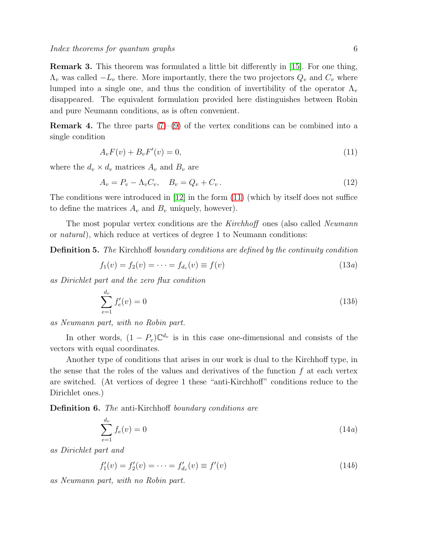Remark 3. This theorem was formulated a little bit differently in [\[15\]](#page-18-3). For one thing,  $\Lambda_v$  was called  $-L_v$  there. More importantly, there the two projectors  $Q_v$  and  $C_v$  where lumped into a single one, and thus the condition of invertibility of the operator  $\Lambda_v$ disappeared. The equivalent formulation provided here distinguishes between Robin and pure Neumann conditions, as is often convenient.

**Remark 4.** The three parts  $(7)-(9)$  $(7)-(9)$  of the vertex conditions can be combined into a single condition

<span id="page-6-0"></span>
$$
A_v F(v) + B_v F'(v) = 0,
$$
\n(11)

where the  $d_v \times d_v$  matrices  $A_v$  and  $B_v$  are

<span id="page-6-1"></span>
$$
A_v = P_v - \Lambda_v C_v, \quad B_v = Q_v + C_v. \tag{12}
$$

The conditions were introduced in [\[12\]](#page-18-1) in the form [\(11\)](#page-6-0) (which by itself does not suffice to define the matrices  $A_v$  and  $B_v$  uniquely, however).

The most popular vertex conditions are the Kirchhoff ones (also called Neumann or natural), which reduce at vertices of degree 1 to Neumann conditions:

Definition 5. The Kirchhoff boundary conditions are defined by the continuity condition

$$
f_1(v) = f_2(v) = \dots = f_{d_v}(v) \equiv f(v)
$$
\n(13*a*)

as Dirichlet part and the zero flux condition

$$
\sum_{e=1}^{d_v} f'_e(v) = 0 \tag{13b}
$$

as Neumann part, with no Robin part.

In other words,  $(1 - P_v)\mathbb{C}^{d_v}$  is in this case one-dimensional and consists of the vectors with equal coordinates.

Another type of conditions that arises in our work is dual to the Kirchhoff type, in the sense that the roles of the values and derivatives of the function  $f$  at each vertex are switched. (At vertices of degree 1 these "anti-Kirchhoff" conditions reduce to the Dirichlet ones.)

Definition 6. The anti-Kirchhoff boundary conditions are

<span id="page-6-2"></span>
$$
\sum_{e=1}^{d_v} f_e(v) = 0 \tag{14a}
$$

as Dirichlet part and

$$
f_1'(v) = f_2'(v) = \dots = f_{d_v}'(v) \equiv f'(v) \tag{14b}
$$

as Neumann part, with no Robin part.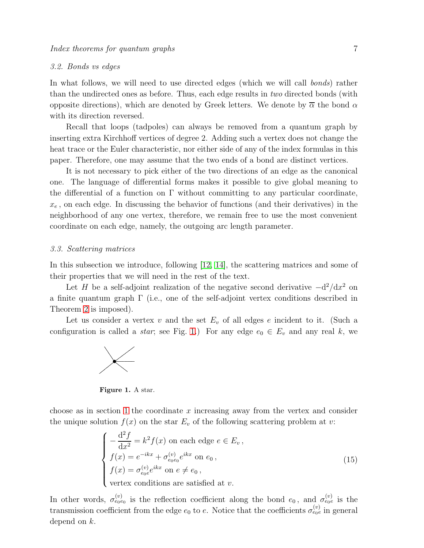## <span id="page-7-1"></span>3.2. Bonds vs edges

In what follows, we will need to use directed edges (which we will call bonds) rather than the undirected ones as before. Thus, each edge results in two directed bonds (with opposite directions), which are denoted by Greek letters. We denote by  $\overline{\alpha}$  the bond  $\alpha$ with its direction reversed.

Recall that loops (tadpoles) can always be removed from a quantum graph by inserting extra Kirchhoff vertices of degree 2. Adding such a vertex does not change the heat trace or the Euler characteristic, nor either side of any of the index formulas in this paper. Therefore, one may assume that the two ends of a bond are distinct vertices.

It is not necessary to pick either of the two directions of an edge as the canonical one. The language of differential forms makes it possible to give global meaning to the differential of a function on  $\Gamma$  without committing to any particular coordinate,  $x_e$ , on each edge. In discussing the behavior of functions (and their derivatives) in the neighborhood of any one vertex, therefore, we remain free to use the most convenient coordinate on each edge, namely, the outgoing arc length parameter.

### 3.3. Scattering matrices

In this subsection we introduce, following [\[12,](#page-18-1) [14\]](#page-18-2), the scattering matrices and some of their properties that we will need in the rest of the text.

Let H be a self-adjoint realization of the negative second derivative  $-d^2/dx^2$  on a finite quantum graph Γ (i.e., one of the self-adjoint vertex conditions described in Theorem [2](#page-5-2) is imposed).

Let us consider a vertex v and the set  $E_v$  of all edges e incident to it. (Such a configuration is called a *star*; see Fig. [1.](#page-7-0)) For any edge  $e_0 \in E_v$  and any real k, we



<span id="page-7-0"></span>Figure 1. A star.

choose as in section [1](#page-2-1) the coordinate  $x$  increasing away from the vertex and consider the unique solution  $f(x)$  on the star  $E<sub>v</sub>$  of the following scattering problem at v:

$$
\begin{cases}\n-\frac{d^2 f}{dx^2} = k^2 f(x) \text{ on each edge } e \in E_v, \\
f(x) = e^{-ikx} + \sigma_{e_0 e_0}^{(v)} e^{ikx} \text{ on } e_0, \\
f(x) = \sigma_{e_0 e}^{(v)} e^{ikx} \text{ on } e \neq e_0, \\
\text{vertex conditions are satisfied at } v.\n\end{cases}
$$
\n(15)

In other words,  $\sigma_{e_0e_0}^{(v)}$  is the reflection coefficient along the bond  $e_0$ , and  $\sigma_{e_0e}^{(v)}$  is the transmission coefficient from the edge  $e_0$  to e. Notice that the coefficients  $\sigma_{e_0e}^{(v)}$  in general depend on k.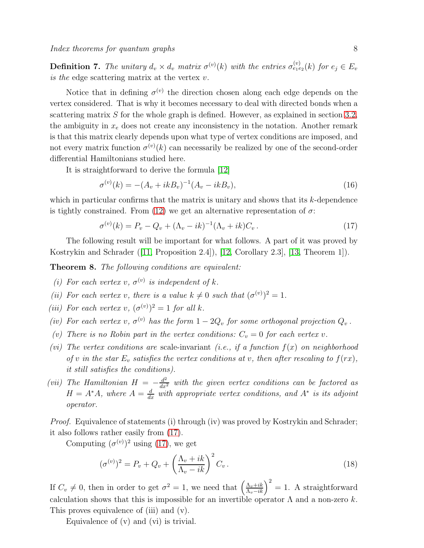**Definition 7.** The unitary  $d_v \times d_v$  matrix  $\sigma^{(v)}(k)$  with the entries  $\sigma^{(v)}_{e_1e_2}(k)$  for  $e_j \in E_v$ is the edge scattering matrix at the vertex  $v$ .

Notice that in defining  $\sigma^{(v)}$  the direction chosen along each edge depends on the vertex considered. That is why it becomes necessary to deal with directed bonds when a scattering matrix  $S$  for the whole graph is defined. However, as explained in section [3.2,](#page-7-1) the ambiguity in  $x_e$  does not create any inconsistency in the notation. Another remark is that this matrix clearly depends upon what type of vertex conditions are imposed, and not every matrix function  $\sigma^{(v)}(k)$  can necessarily be realized by one of the second-order differential Hamiltonians studied here.

It is straightforward to derive the formula [\[12\]](#page-18-1)

$$
\sigma^{(v)}(k) = -(A_v + ikB_v)^{-1}(A_v - ikB_v),\tag{16}
$$

which in particular confirms that the matrix is unitary and shows that its  $k$ -dependence is tightly constrained. From [\(12\)](#page-6-1) we get an alternative representation of  $\sigma$ :

<span id="page-8-0"></span>
$$
\sigma^{(v)}(k) = P_v - Q_v + (\Lambda_v - ik)^{-1} (\Lambda_v + ik) C_v.
$$
\n(17)

The following result will be important for what follows. A part of it was proved by Kostrykin and Schrader([\[11,](#page-18-9) Proposition 2.4]), [\[12,](#page-18-1) Corollary 2.3], [\[13,](#page-18-10) Theorem 1]).

<span id="page-8-1"></span>Theorem 8. The following conditions are equivalent:

- (i) For each vertex v,  $\sigma^{(v)}$  is independent of k.
- (ii) For each vertex v, there is a value  $k \neq 0$  such that  $(\sigma^{(v)})^2 = 1$ .
- (iii) For each vertex v,  $(\sigma^{(v)})^2 = 1$  for all k.
- (iv) For each vertex v,  $\sigma^{(v)}$  has the form  $1 2Q_v$  for some orthogonal projection  $Q_v$ .
- (v) There is no Robin part in the vertex conditions:  $C_v = 0$  for each vertex v.
- (vi) The vertex conditions are scale-invariant (i.e., if a function  $f(x)$  on neighborhood of v in the star  $E_v$  satisfies the vertex conditions at v, then after rescaling to  $f(rx)$ , it still satisfies the conditions).
- (vii) The Hamiltonian  $H = -\frac{d^2}{dx^2}$  with the given vertex conditions can be factored as  $H = A^*A$ , where  $A = \frac{d}{dx}$  with appropriate vertex conditions, and  $A^*$  is its adjoint operator.

Proof. Equivalence of statements (i) through (iv) was proved by Kostrykin and Schrader; it also follows rather easily from [\(17\)](#page-8-0).

Computing  $(\sigma^{(v)})^2$  using [\(17\)](#page-8-0), we get

$$
(\sigma^{(v)})^2 = P_v + Q_v + \left(\frac{\Lambda_v + ik}{\Lambda_v - ik}\right)^2 C_v.
$$
\n(18)

If  $C_v \neq 0$ , then in order to get  $\sigma^2 = 1$ , we need that  $\left(\frac{\Lambda_v + ik}{\Lambda_v - ik}\right)^2 = 1$ . A straightforward calculation shows that this is impossible for an invertible operator  $\Lambda$  and a non-zero k. This proves equivalence of (iii) and (v).

Equivalence of (v) and (vi) is trivial.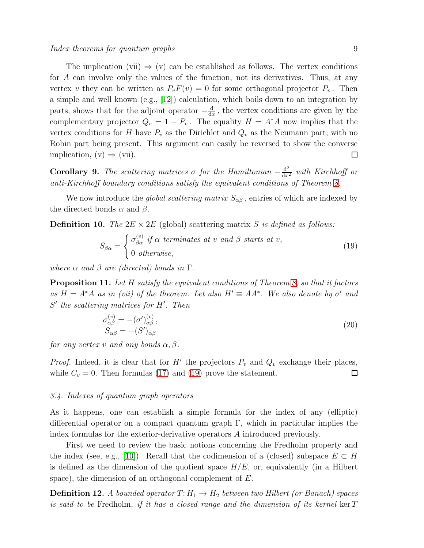The implication (vii)  $\Rightarrow$  (v) can be established as follows. The vertex conditions for A can involve only the values of the function, not its derivatives. Thus, at any vertex v they can be written as  $P_vF(v) = 0$  for some orthogonal projector  $P_v$ . Then a simple and well known (e.g., [\[12\]](#page-18-1)) calculation, which boils down to an integration by parts, shows that for the adjoint operator  $-\frac{d}{da}$  $\frac{d}{dx}$ , the vertex conditions are given by the complementary projector  $Q_v = 1 - P_v$ . The equality  $H = A^*A$  now implies that the vertex conditions for H have  $P_v$  as the Dirichlet and  $Q_v$  as the Neumann part, with no Robin part being present. This argument can easily be reversed to show the converse implication,  $(v) \Rightarrow (vii)$ .  $\Box$ 

**Corollary 9.** The scattering matrices  $\sigma$  for the Hamiltonian  $-\frac{d^2}{dx^2}$  with Kirchhoff or anti-Kirchhoff boundary conditions satisfy the equivalent conditions of Theorem [8.](#page-8-1)

We now introduce the *global scattering matrix*  $S_{\alpha\beta}$ , entries of which are indexed by the directed bonds  $\alpha$  and  $\beta$ .

<span id="page-9-1"></span>**Definition 10.** The  $2E \times 2E$  (global) scattering matrix S is defined as follows:

<span id="page-9-0"></span>
$$
S_{\beta\alpha} = \begin{cases} \sigma_{\beta\alpha}^{(v)} & \text{if } \alpha \text{ terminates at } v \text{ and } \beta \text{ starts at } v, \\ 0 & \text{otherwise,} \end{cases}
$$
 (19)

where  $\alpha$  and  $\beta$  are (directed) bonds in  $\Gamma$ .

<span id="page-9-2"></span>**Proposition 11.** Let H satisfy the equivalent conditions of Theorem [8,](#page-8-1) so that it factors as  $H = A^*A$  as in (vii) of the theorem. Let also  $H' \equiv AA^*$ . We also denote by  $\sigma'$  and S' the scattering matrices for H'. Then

$$
\sigma_{\alpha\beta}^{(v)} = -(\sigma')_{\alpha\beta}^{(v)},
$$
  
\n
$$
S_{\alpha\beta} = -(S')_{\alpha\beta}
$$
\n(20)

for any vertex v and any bonds  $\alpha$ ,  $\beta$ .

*Proof.* Indeed, it is clear that for  $H'$  the projectors  $P_v$  and  $Q_v$  exchange their places, while  $C_v = 0$ . Then formulas [\(17\)](#page-8-0) and [\(19\)](#page-9-0) prove the statement.  $\Box$ 

#### <span id="page-9-3"></span>3.4. Indexes of quantum graph operators

As it happens, one can establish a simple formula for the index of any (elliptic) differential operator on a compact quantum graph  $\Gamma$ , which in particular implies the index formulas for the exterior-derivative operators A introduced previously.

First we need to review the basic notions concerning the Fredholm property and the index (see, e.g., [\[10\]](#page-18-11)). Recall that the codimension of a (closed) subspace  $E \subset H$ is defined as the dimension of the quotient space  $H/E$ , or, equivalently (in a Hilbert space), the dimension of an orthogonal complement of E.

**Definition 12.** A bounded operator  $T: H_1 \to H_2$  between two Hilbert (or Banach) spaces is said to be Fredholm, if it has a closed range and the dimension of its kernel ker  $T$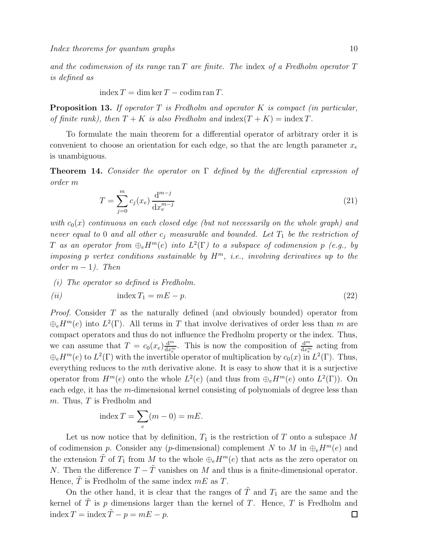and the codimension of its range ran  $T$  are finite. The index of a Fredholm operator  $T$ is defined as

$$
index T = \dim \ker T - \operatorname{codim} \operatorname{ran} T.
$$

**Proposition 13.** If operator  $T$  is Fredholm and operator  $K$  is compact (in particular, of finite rank), then  $T + K$  is also Fredholm and index $(T + K) =$ index T.

To formulate the main theorem for a differential operator of arbitrary order it is convenient to choose an orientation for each edge, so that the arc length parameter  $x_e$ is unambiguous.

<span id="page-10-0"></span>**Theorem 14.** Consider the operator on  $\Gamma$  defined by the differential expression of order m

$$
T = \sum_{j=0}^{m} c_j(x_e) \frac{d^{m-j}}{dx_e^{m-j}}
$$
\n(21)

with  $c_0(x)$  continuous on each closed edge (but not necessarily on the whole graph) and never equal to 0 and all other  $c_j$  measurable and bounded. Let  $T_1$  be the restriction of T as an operator from  $\bigoplus_e H^m(e)$  into  $L^2(\Gamma)$  to a subspace of codimension  $p$  (e.g., by imposing p vertex conditions sustainable by  $H^m$ , i.e., involving derivatives up to the  $order \; m-1$ ). Then

(i) The operator so defined is Fredholm.

$$
(ii) \qquad \qquad \text{index } T_1 = mE - p. \tag{22}
$$

Proof. Consider T as the naturally defined (and obviously bounded) operator from  $\bigoplus_e H^m(e)$  into  $L^2(\Gamma)$ . All terms in T that involve derivatives of order less than m are compact operators and thus do not influence the Fredholm property or the index. Thus, we can assume that  $T = c_0(x_e) \frac{d^m}{dx^m}$  $\frac{d^m}{dx^m_e}$ . This is now the composition of  $\frac{d^m}{dx^m_e}$  acting from  $\bigoplus_e H^m(e)$  to  $L^2(\Gamma)$  with the invertible operator of multiplication by  $c_0(x)$  in  $L^2(\Gamma)$ . Thus, everything reduces to the mth derivative alone. It is easy to show that it is a surjective operator from  $H^m(e)$  onto the whole  $L^2(e)$  (and thus from  $\bigoplus_e H^m(e)$  onto  $L^2(\Gamma)$ ). On each edge, it has the m-dimensional kernel consisting of polynomials of degree less than m. Thus, T is Fredholm and

index 
$$
T = \sum_{e} (m - 0) = mE.
$$

Let us now notice that by definition,  $T_1$  is the restriction of T onto a subspace M of codimension p. Consider any (p-dimensional) complement N to M in  $\bigoplus_{e} H^m(e)$  and the extension  $\tilde{T}$  of  $T_1$  from M to the whole  $\bigoplus_e H^m(e)$  that acts as the zero operator on N. Then the difference  $T - \tilde{T}$  vanishes on M and thus is a finite-dimensional operator. Hence,  $\hat{T}$  is Fredholm of the same index  $mE$  as  $T$ .

On the other hand, it is clear that the ranges of  $\overline{T}$  and  $T_1$  are the same and the kernel of  $\tilde{T}$  is p dimensions larger than the kernel of T. Hence, T is Fredholm and index  $T = \text{index } \tilde{T} - p = mE - p.$  $\Box$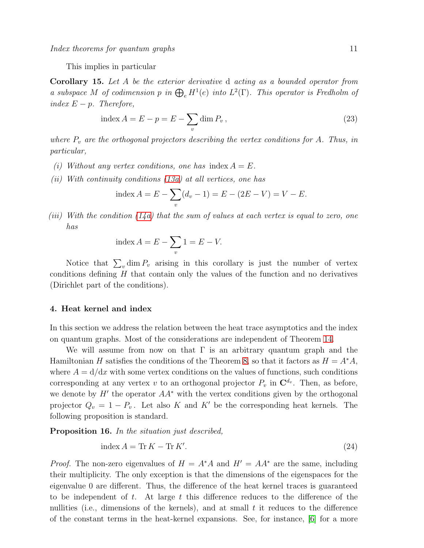This implies in particular

<span id="page-11-3"></span>Corollary 15. Let A be the exterior derivative d acting as a bounded operator from a subspace M of codimension p in  $\bigoplus_e H^1(e)$  into  $L^2(\Gamma)$ . This operator is Fredholm of index  $E - p$ . Therefore,

<span id="page-11-2"></span>index 
$$
A = E - p = E - \sum_{v} \dim P_v
$$
, (23)

where  $P_v$  are the orthogonal projectors describing the vertex conditions for A. Thus, in particular,

- (i) Without any vertex conditions, one has index  $A = E$ .
- (ii) With continuity conditions  $(13a)$  at all vertices, one has

index 
$$
A = E - \sum_{v} (d_v - 1) = E - (2E - V) = V - E
$$
.

(iii) With the condition  $(14a)$  that the sum of values at each vertex is equal to zero, one has

index 
$$
A = E - \sum_{v} 1 = E - V
$$
.

Notice that  $\sum_{v} \dim P_v$  arising in this corollary is just the number of vertex conditions defining  $H$  that contain only the values of the function and no derivatives (Dirichlet part of the conditions).

#### <span id="page-11-0"></span>4. Heat kernel and index

In this section we address the relation between the heat trace asymptotics and the index on quantum graphs. Most of the considerations are independent of Theorem [14.](#page-10-0)

We will assume from now on that  $\Gamma$  is an arbitrary quantum graph and the Hamiltonian H satisfies the conditions of the Theorem [8,](#page-8-1) so that it factors as  $H = A^*A$ , where  $A = d/dx$  with some vertex conditions on the values of functions, such conditions corresponding at any vertex v to an orthogonal projector  $P_v$  in  $\mathbb{C}^{d_v}$ . Then, as before, we denote by  $H'$  the operator  $AA^*$  with the vertex conditions given by the orthogonal projector  $Q_v = 1 - P_v$ . Let also K and K' be the corresponding heat kernels. The following proposition is standard.

<span id="page-11-1"></span>Proposition 16. In the situation just described,

$$
index A = \text{Tr } K - \text{Tr } K'. \tag{24}
$$

*Proof.* The non-zero eigenvalues of  $H = A^*A$  and  $H' = AA^*$  are the same, including their multiplicity. The only exception is that the dimensions of the eigenspaces for the eigenvalue 0 are different. Thus, the difference of the heat kernel traces is guaranteed to be independent of t. At large t this difference reduces to the difference of the nullities (i.e., dimensions of the kernels), and at small  $t$  it reduces to the difference of the constant terms in the heat-kernel expansions. See, for instance, [\[6\]](#page-18-5) for a more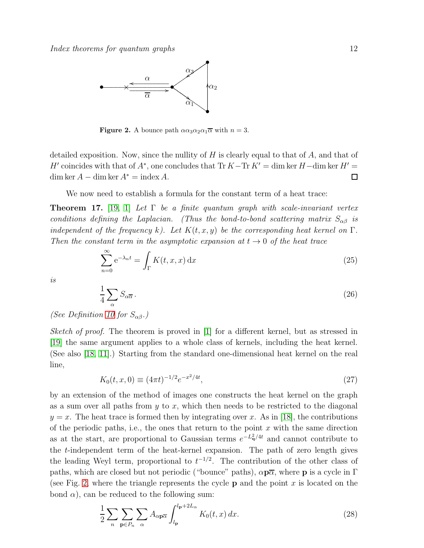

<span id="page-12-0"></span>**Figure 2.** A bounce path  $\alpha \alpha_3 \alpha_2 \alpha_1 \overline{\alpha}$  with  $n = 3$ .

detailed exposition. Now, since the nullity of  $H$  is clearly equal to that of  $A$ , and that of  $H'$  coincides with that of  $A^*$ , one concludes that Tr  $K-\text{Tr } K' = \dim \ker H - \dim \ker H' =$ dim ker  $A - \dim \ker A^* = \operatorname{index} A$ .  $\Box$ 

We now need to establish a formula for the constant term of a heat trace:

<span id="page-12-4"></span>**Theorem 17.** [\[19,](#page-19-0) [1\]](#page-18-12) Let  $\Gamma$  be a finite quantum graph with scale-invariant vertex conditions defining the Laplacian. (Thus the bond-to-bond scattering matrix  $S_{\alpha\beta}$  is independent of the frequency k). Let  $K(t, x, y)$  be the corresponding heat kernel on  $\Gamma$ . Then the constant term in the asymptotic expansion at  $t \to 0$  of the heat trace

$$
\sum_{n=0}^{\infty} e^{-\lambda_n t} = \int_{\Gamma} K(t, x, x) dx
$$
\n(25)

is

<span id="page-12-3"></span>
$$
\frac{1}{4} \sum_{\alpha} S_{\alpha \overline{\alpha}} \,. \tag{26}
$$

(See Definition [10](#page-9-1) for  $S_{\alpha\beta}$ .)

Sketch of proof. The theorem is proved in [\[1\]](#page-18-12) for a different kernel, but as stressed in [\[19\]](#page-19-0) the same argument applies to a whole class of kernels, including the heat kernel. (See also [\[18,](#page-18-4) [11\]](#page-18-9).) Starting from the standard one-dimensional heat kernel on the real line,

<span id="page-12-2"></span>
$$
K_0(t, x, 0) \equiv (4\pi t)^{-1/2} e^{-x^2/4t}, \qquad (27)
$$

by an extension of the method of images one constructs the heat kernel on the graph as a sum over all paths from  $y$  to  $x$ , which then needs to be restricted to the diagonal  $y = x$ . The heat trace is formed then by integrating over x. As in [\[18\]](#page-18-4), the contributions of the periodic paths, i.e., the ones that return to the point  $x$  with the same direction as at the start, are proportional to Gaussian terms  $e^{-L_q^2/4t}$  and cannot contribute to the t-independent term of the heat-kernel expansion. The path of zero length gives the leading Weyl term, proportional to  $t^{-1/2}$ . The contribution of the other class of paths, which are closed but not periodic ("bounce" paths),  $\alpha p\overline{\alpha}$ , where p is a cycle in  $\Gamma$ (see Fig. [2,](#page-12-0) where the triangle represents the cycle  $p$  and the point x is located on the bond  $\alpha$ ), can be reduced to the following sum:

<span id="page-12-1"></span>
$$
\frac{1}{2} \sum_{n} \sum_{\mathbf{p} \in P_n} \sum_{\alpha} A_{\alpha \mathbf{p} \overline{\alpha}} \int_{l_{\mathbf{p}}}^{l_{\mathbf{p}} + 2L_{\alpha}} K_0(t, x) dx.
$$
 (28)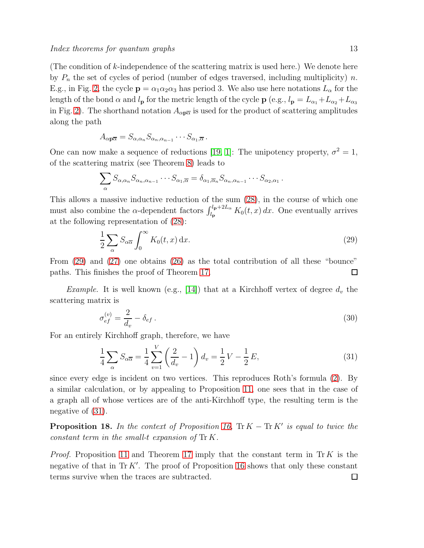(The condition of  $k$ -independence of the scattering matrix is used here.) We denote here by  $P_n$  the set of cycles of period (number of edges traversed, including multiplicity) n. E.g., in Fig. [2,](#page-12-0) the cycle  $\mathbf{p} = \alpha_1 \alpha_2 \alpha_3$  has period 3. We also use here notations  $L_{\alpha}$  for the length of the bond  $\alpha$  and  $l_p$  for the metric length of the cycle  $\mathbf{p}$  (e.g.,  $l_p = L_{\alpha_1} + L_{\alpha_2} + L_{\alpha_3}$ in Fig. [2\)](#page-12-0). The shorthand notation  $A_{\alpha p\overline{\alpha}}$  is used for the product of scattering amplitudes along the path

$$
A_{\alpha p\overline{\alpha}} = S_{\alpha,\alpha_n} S_{\alpha_n,\alpha_{n-1}} \cdots S_{\alpha_1,\overline{\alpha}}.
$$

One can now make a sequence of reductions [\[19,](#page-19-0) [1\]](#page-18-12): The unipotency property,  $\sigma^2 = 1$ , of the scattering matrix (see Theorem [8\)](#page-8-1) leads to

$$
\sum_{\alpha} S_{\alpha,\alpha_n} S_{\alpha_n,\alpha_{n-1}} \cdots S_{\alpha_1,\overline{\alpha}} = \delta_{\alpha_1,\overline{\alpha}_n} S_{\alpha_n,\alpha_{n-1}} \cdots S_{\alpha_2,\alpha_1}.
$$

This allows a massive inductive reduction of the sum [\(28\)](#page-12-1), in the course of which one must also combine the  $\alpha$ -dependent factors  $\int_{l_{\mathbf{p}}}^{l_{\mathbf{p}}+2L_{\alpha}} K_0(t, x) dx$ . One eventually arrives at the following representation of [\(28\)](#page-12-1):

<span id="page-13-0"></span>
$$
\frac{1}{2} \sum_{\alpha} S_{\alpha \overline{\alpha}} \int_0^{\infty} K_0(t, x) \, \mathrm{d}x. \tag{29}
$$

From [\(29\)](#page-13-0) and [\(27\)](#page-12-2) one obtains [\(26\)](#page-12-3) as the total contribution of all these "bounce" paths. This finishes the proof of Theorem [17.](#page-12-4) П

*Example.* It is well known (e.g., [\[14\]](#page-18-2)) that at a Kirchhoff vertex of degree  $d_v$  the scattering matrix is

$$
\sigma_{ef}^{(v)} = \frac{2}{d_v} - \delta_{ef} \,. \tag{30}
$$

For an entirely Kirchhoff graph, therefore, we have

<span id="page-13-1"></span>
$$
\frac{1}{4} \sum_{\alpha} S_{\alpha \overline{\alpha}} = \frac{1}{4} \sum_{v=1}^{V} \left( \frac{2}{d_v} - 1 \right) d_v = \frac{1}{2} V - \frac{1}{2} E,
$$
\n(31)

since every edge is incident on two vertices. This reproduces Roth's formula [\(2\)](#page-3-0). By a similar calculation, or by appealing to Proposition [11,](#page-9-2) one sees that in the case of a graph all of whose vertices are of the anti-Kirchhoff type, the resulting term is the negative of [\(31\)](#page-13-1).

<span id="page-13-2"></span>**Proposition 18.** In the context of Proposition [16,](#page-11-1)  $\text{Tr } K - \text{Tr } K'$  is equal to twice the constant term in the small-t expansion of Tr K.

*Proof.* Proposition [11](#page-9-2) and Theorem [17](#page-12-4) imply that the constant term in Tr K is the negative of that in  $\text{Tr } K'$ . The proof of Proposition [16](#page-11-1) shows that only these constant terms survive when the traces are subtracted. $\Box$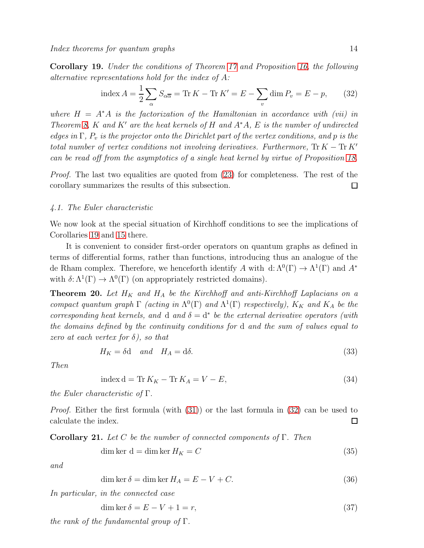<span id="page-14-0"></span>Corollary 19. Under the conditions of Theorem [17](#page-12-4) and Proposition [16,](#page-11-1) the following alternative representations hold for the index of A:

<span id="page-14-1"></span>index 
$$
A = \frac{1}{2} \sum_{\alpha} S_{\alpha \overline{\alpha}} = \text{Tr } K - \text{Tr } K' = E - \sum_{v} \dim P_v = E - p,
$$
 (32)

where  $H = A^*A$  is the factorization of the Hamiltonian in accordance with (vii) in Theorem [8,](#page-8-1) K and K' are the heat kernels of H and  $A^*A$ , E is the number of undirected edges in  $\Gamma$ ,  $P_v$  is the projector onto the Dirichlet part of the vertex conditions, and p is the total number of vertex conditions not involving derivatives. Furthermore,  $\text{Tr } K - \text{Tr } K'$ can be read off from the asymptotics of a single heat kernel by virtue of Proposition [18.](#page-13-2)

Proof. The last two equalities are quoted from [\(23\)](#page-11-2) for completeness. The rest of the corollary summarizes the results of this subsection.  $\Box$ 

#### 4.1. The Euler characteristic

We now look at the special situation of Kirchhoff conditions to see the implications of Corollaries [19](#page-14-0) and [15](#page-11-3) there.

It is convenient to consider first-order operators on quantum graphs as defined in terms of differential forms, rather than functions, introducing thus an analogue of the de Rham complex. Therefore, we henceforth identify A with  $d: \Lambda^0(\Gamma) \to \Lambda^1(\Gamma)$  and  $A^*$ with  $\delta: \Lambda^1(\Gamma) \to \Lambda^0(\Gamma)$  (on appropriately restricted domains).

<span id="page-14-5"></span>**Theorem 20.** Let  $H_K$  and  $H_A$  be the Kirchhoff and anti-Kirchhoff Laplacians on a compact quantum graph  $\Gamma$  (acting in  $\Lambda^{0}(\Gamma)$  and  $\Lambda^{1}(\Gamma)$  respectively),  $K_K$  and  $K_A$  be the corresponding heat kernels, and d and  $\delta = d^*$  be the external derivative operators (with the domains defined by the continuity conditions for d and the sum of values equal to zero at each vertex for  $\delta$ ), so that

$$
H_K = \delta \mathbf{d} \quad \text{and} \quad H_A = \mathbf{d}\delta. \tag{33}
$$

Then

<span id="page-14-3"></span>
$$
index d = Tr KK - Tr KA = V - E,
$$
\n(34)

the Euler characteristic of  $\Gamma$ .

*Proof.* Either the first formula (with  $(31)$ ) or the last formula in  $(32)$  can be used to calculate the index.  $\Box$ 

Corollary 21. Let C be the number of connected components of  $\Gamma$ . Then

<span id="page-14-2"></span>
$$
\dim \ker \, d = \dim \ker H_K = C \tag{35}
$$

and

<span id="page-14-4"></span>
$$
\dim \ker \delta = \dim \ker H_A = E - V + C. \tag{36}
$$

In particular, in the connected case

dim ker  $\delta = E - V + 1 = r$ , (37)

the rank of the fundamental group of  $\Gamma$ .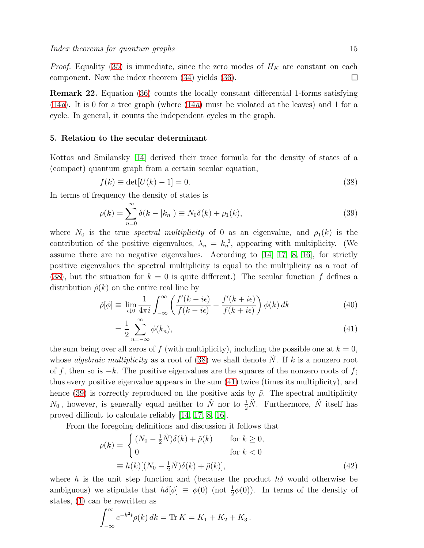*Proof.* Equality [\(35\)](#page-14-2) is immediate, since the zero modes of  $H_K$  are constant on each component. Now the index theorem [\(34\)](#page-14-3) yields [\(36\)](#page-14-4).  $\Box$ 

Remark 22. Equation [\(36\)](#page-14-4) counts the locally constant differential 1-forms satisfying  $(14a)$  $(14a)$ . It is 0 for a tree graph (where  $(14a)$  must be violated at the leaves) and 1 for a cycle. In general, it counts the independent cycles in the graph.

#### <span id="page-15-0"></span>5. Relation to the secular determinant

Kottos and Smilansky [\[14\]](#page-18-2) derived their trace formula for the density of states of a (compact) quantum graph from a certain secular equation,

<span id="page-15-1"></span>
$$
f(k) \equiv \det[U(k) - 1] = 0.
$$
\n(38)

In terms of frequency the density of states is

<span id="page-15-3"></span>
$$
\rho(k) = \sum_{n=0}^{\infty} \delta(k - |k_n|) \equiv N_0 \delta(k) + \rho_1(k),
$$
\n(39)

where  $N_0$  is the true spectral multiplicity of 0 as an eigenvalue, and  $\rho_1(k)$  is the contribution of the positive eigenvalues,  $\lambda_n = k_n^2$ , appearing with multiplicity. (We assume there are no negative eigenvalues. According to [\[14,](#page-18-2) [17,](#page-18-13) [8,](#page-18-0) [16\]](#page-18-14), for strictly positive eigenvalues the spectral multiplicity is equal to the multiplicity as a root of [\(38\)](#page-15-1), but the situation for  $k = 0$  is quite different.) The secular function f defines a distribution  $\tilde{\rho}(k)$  on the entire real line by

<span id="page-15-2"></span>
$$
\tilde{\rho}[\phi] \equiv \lim_{\epsilon \downarrow 0} \frac{1}{4\pi i} \int_{-\infty}^{\infty} \left( \frac{f'(k - i\epsilon)}{f(k - i\epsilon)} - \frac{f'(k + i\epsilon)}{f(k + i\epsilon)} \right) \phi(k) dk \tag{40}
$$

$$
=\frac{1}{2}\sum_{n=-\infty}^{\infty}\phi(k_n),\tag{41}
$$

the sum being over all zeros of f (with multiplicity), including the possible one at  $k = 0$ , whose *algebraic multiplicity* as a root of  $(38)$  we shall denote N. If k is a nonzero root of f, then so is  $-k$ . The positive eigenvalues are the squares of the nonzero roots of f; thus every positive eigenvalue appears in the sum [\(41\)](#page-15-2) twice (times its multiplicity), and hence [\(39\)](#page-15-3) is correctly reproduced on the positive axis by  $\tilde{\rho}$ . The spectral multiplicity  $N_0$ , however, is generally equal neither to  $\tilde{N}$  nor to  $\frac{1}{2}\tilde{N}$ . Furthermore,  $\tilde{N}$  itself has proved difficult to calculate reliably [\[14,](#page-18-2) [17,](#page-18-13) [8,](#page-18-0) [16\]](#page-18-14).

From the foregoing definitions and discussion it follows that

<span id="page-15-4"></span>
$$
\rho(k) = \begin{cases}\n(N_0 - \frac{1}{2}\tilde{N})\delta(k) + \tilde{\rho}(k) & \text{for } k \ge 0, \\
0 & \text{for } k < 0\n\end{cases}
$$
\n
$$
\equiv h(k)[(N_0 - \frac{1}{2}\tilde{N})\delta(k) + \tilde{\rho}(k)],
$$
\n(42)

where h is the unit step function and (because the product  $h\delta$  would otherwise be ambiguous) we stipulate that  $h\delta[\phi] \equiv \phi(0)$  (not  $\frac{1}{2}\phi(0)$ ). In terms of the density of states, [\(1\)](#page-2-0) can be rewritten as

$$
\int_{-\infty}^{\infty} e^{-k^2 t} \rho(k) \, dk = \text{Tr} \, K = K_1 + K_2 + K_3 \, .
$$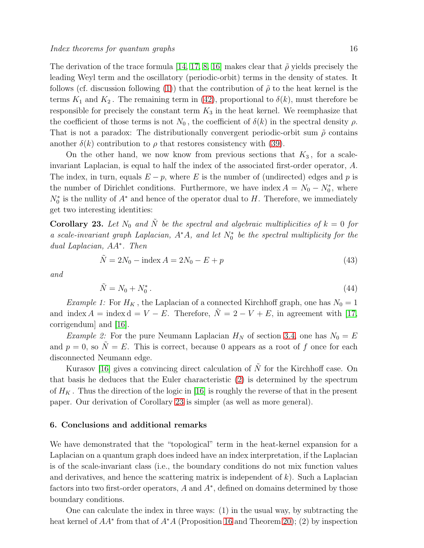The derivation of the trace formula [\[14,](#page-18-2) [17,](#page-18-13) [8,](#page-18-0) [16\]](#page-18-14) makes clear that  $\tilde{\rho}$  yields precisely the leading Weyl term and the oscillatory (periodic-orbit) terms in the density of states. It follows (cf. discussion following [\(1\)](#page-2-0)) that the contribution of  $\tilde{\rho}$  to the heat kernel is the terms  $K_1$  and  $K_2$ . The remaining term in [\(42\)](#page-15-4), proportional to  $\delta(k)$ , must therefore be responsible for precisely the constant term  $K_3$  in the heat kernel. We reemphasize that the coefficient of those terms is not  $N_0$ , the coefficient of  $\delta(k)$  in the spectral density  $\rho$ . That is not a paradox: The distributionally convergent periodic-orbit sum  $\tilde{\rho}$  contains another  $\delta(k)$  contribution to  $\rho$  that restores consistency with [\(39\)](#page-15-3).

On the other hand, we now know from previous sections that  $K_3$ , for a scaleinvariant Laplacian, is equal to half the index of the associated first-order operator, A. The index, in turn, equals  $E - p$ , where E is the number of (undirected) edges and p is the number of Dirichlet conditions. Furthermore, we have index  $A = N_0 - N_0^*$ , where  $N_0^*$  is the nullity of  $A^*$  and hence of the operator dual to H. Therefore, we immediately get two interesting identities:

<span id="page-16-1"></span>**Corollary 23.** Let  $N_0$  and  $\tilde{N}$  be the spectral and algebraic multiplicities of  $k = 0$  for a scale-invariant graph Laplacian,  $A^*A$ , and let  $N_0^*$  be the spectral multiplicity for the dual Laplacian, AA<sup>∗</sup> . Then

$$
\tilde{N} = 2N_0 - \text{index } A = 2N_0 - E + p \tag{43}
$$

and

$$
\tilde{N} = N_0 + N_0^* \tag{44}
$$

Example 1: For  $H_K$ , the Laplacian of a connected Kirchhoff graph, one has  $N_0 = 1$ and index  $A = \text{index } d = V - E$ . Therefore,  $\tilde{N} = 2 - V + E$ , in agreement with [\[17,](#page-18-13) corrigendum] and [\[16\]](#page-18-14).

*Example 2:* For the pure Neumann Laplacian  $H_N$  of section [3.4,](#page-9-3) one has  $N_0 = E$ and  $p = 0$ , so  $\tilde{N} = E$ . This is correct, because 0 appears as a root of f once for each disconnected Neumann edge.

Kurasov [\[16\]](#page-18-14) gives a convincing direct calculation of  $\tilde{N}$  for the Kirchhoff case. On that basis he deduces that the Euler characteristic [\(2\)](#page-3-0) is determined by the spectrum of  $H_K$ . Thus the direction of the logic in [\[16\]](#page-18-14) is roughly the reverse of that in the present paper. Our derivation of Corollary [23](#page-16-1) is simpler (as well as more general).

#### <span id="page-16-0"></span>6. Conclusions and additional remarks

We have demonstrated that the "topological" term in the heat-kernel expansion for a Laplacian on a quantum graph does indeed have an index interpretation, if the Laplacian is of the scale-invariant class (i.e., the boundary conditions do not mix function values and derivatives, and hence the scattering matrix is independent of  $k$ ). Such a Laplacian factors into two first-order operators, A and  $A^*$ , defined on domains determined by those boundary conditions.

One can calculate the index in three ways: (1) in the usual way, by subtracting the heat kernel of  $AA^*$  from that of  $A^*A$  (Proposition [16](#page-11-1) and Theorem [20\)](#page-14-5); (2) by inspection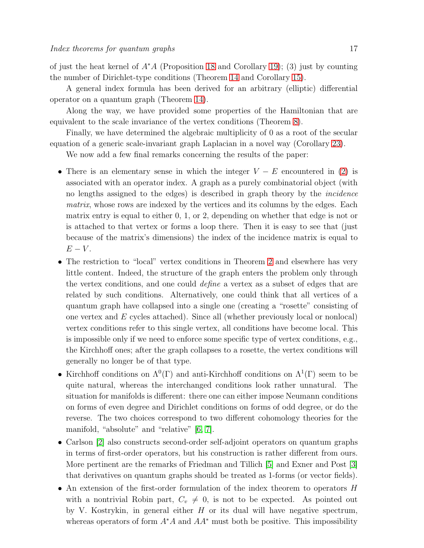of just the heat kernel of  $A^*A$  (Proposition [18](#page-13-2) and Corollary [19\)](#page-14-0); (3) just by counting the number of Dirichlet-type conditions (Theorem [14](#page-10-0) and Corollary [15\)](#page-11-3).

A general index formula has been derived for an arbitrary (elliptic) differential operator on a quantum graph (Theorem [14\)](#page-10-0).

Along the way, we have provided some properties of the Hamiltonian that are equivalent to the scale invariance of the vertex conditions (Theorem [8\)](#page-8-1).

Finally, we have determined the algebraic multiplicity of 0 as a root of the secular equation of a generic scale-invariant graph Laplacian in a novel way (Corollary [23\)](#page-16-1).

We now add a few final remarks concerning the results of the paper:

- There is an elementary sense in which the integer  $V E$  encountered in [\(2\)](#page-3-0) is associated with an operator index. A graph as a purely combinatorial object (with no lengths assigned to the edges) is described in graph theory by the incidence matrix, whose rows are indexed by the vertices and its columns by the edges. Each matrix entry is equal to either 0, 1, or 2, depending on whether that edge is not or is attached to that vertex or forms a loop there. Then it is easy to see that (just because of the matrix's dimensions) the index of the incidence matrix is equal to  $E-V$ .
- The restriction to "local" vertex conditions in Theorem [2](#page-5-2) and elsewhere has very little content. Indeed, the structure of the graph enters the problem only through the vertex conditions, and one could define a vertex as a subset of edges that are related by such conditions. Alternatively, one could think that all vertices of a quantum graph have collapsed into a single one (creating a "rosette" consisting of one vertex and E cycles attached). Since all (whether previously local or nonlocal) vertex conditions refer to this single vertex, all conditions have become local. This is impossible only if we need to enforce some specific type of vertex conditions, e.g., the Kirchhoff ones; after the graph collapses to a rosette, the vertex conditions will generally no longer be of that type.
- Kirchhoff conditions on  $\Lambda^0(\Gamma)$  and anti-Kirchhoff conditions on  $\Lambda^1(\Gamma)$  seem to be quite natural, whereas the interchanged conditions look rather unnatural. The situation for manifolds is different: there one can either impose Neumann conditions on forms of even degree and Dirichlet conditions on forms of odd degree, or do the reverse. The two choices correspond to two different cohomology theories for the manifold, "absolute" and "relative" [\[6,](#page-18-5) [7\]](#page-18-6).
- Carlson [\[2\]](#page-18-15) also constructs second-order self-adjoint operators on quantum graphs in terms of first-order operators, but his construction is rather different from ours. More pertinent are the remarks of Friedman and Tillich [\[5\]](#page-18-16) and Exner and Post [\[3\]](#page-18-17) that derivatives on quantum graphs should be treated as 1-forms (or vector fields).
- An extension of the first-order formulation of the index theorem to operators H with a nontrivial Robin part,  $C_v \neq 0$ , is not to be expected. As pointed out by V. Kostrykin, in general either  $H$  or its dual will have negative spectrum, whereas operators of form  $A^*A$  and  $AA^*$  must both be positive. This impossibility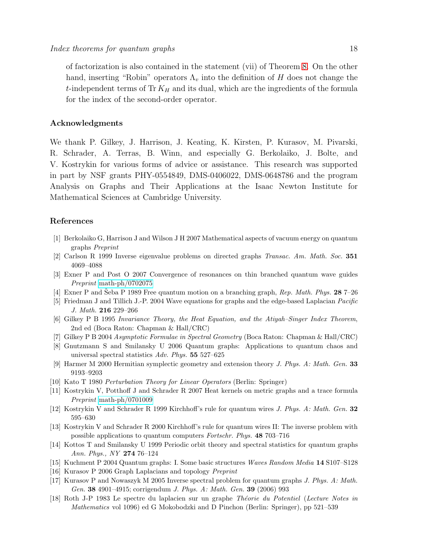of factorization is also contained in the statement (vii) of Theorem [8.](#page-8-1) On the other hand, inserting "Robin" operators  $\Lambda_v$  into the definition of H does not change the t-independent terms of  $\text{Tr } K_H$  and its dual, which are the ingredients of the formula for the index of the second-order operator.

### Acknowledgments

We thank P. Gilkey, J. Harrison, J. Keating, K. Kirsten, P. Kurasov, M. Pivarski, R. Schrader, A. Terras, B. Winn, and especially G. Berkolaiko, J. Bolte, and V. Kostrykin for various forms of advice or assistance. This research was supported in part by NSF grants PHY-0554849, DMS-0406022, DMS-0648786 and the program Analysis on Graphs and Their Applications at the Isaac Newton Institute for Mathematical Sciences at Cambridge University.

## <span id="page-18-12"></span>References

- <span id="page-18-15"></span>[1] Berkolaiko G, Harrison J and Wilson J H 2007 Mathematical aspects of vacuum energy on quantum graphs *Preprint*
- <span id="page-18-17"></span>[2] Carlson R 1999 Inverse eigenvalue problems on directed graphs *Transac. Am. Math. Soc.* 351 4069–4088
- <span id="page-18-7"></span>[3] Exner P and Post O 2007 Convergence of resonances on thin branched quantum wave guides *Preprint* [math-ph/0702075](http://arxiv.org/abs/math-ph/0702075)
- <span id="page-18-16"></span>[4] Exner P and Šeba P 1989 Free quantum motion on a branching graph, Rep. Math. Phys. 28 7–26
- <span id="page-18-5"></span>[5] Friedman J and Tillich J.-P. 2004 Wave equations for graphs and the edge-based Laplacian *Pacific J. Math.* 216 229–266
- [6] Gilkey P B 1995 *Invariance Theory, the Heat Equation, and the Atiyah–Singer Index Theorem*, 2nd ed (Boca Raton: Chapman & Hall/CRC)
- <span id="page-18-6"></span><span id="page-18-0"></span>[7] Gilkey P B 2004 *Asymptotic Formulae in Spectral Geometry* (Boca Raton: Chapman & Hall/CRC)
- [8] Gnutzmann S and Smilansky U 2006 Quantum graphs: Applications to quantum chaos and universal spectral statistics *Adv. Phys.* 55 527–625
- <span id="page-18-11"></span><span id="page-18-8"></span>[9] Harmer M 2000 Hermitian symplectic geometry and extension theory *J. Phys. A: Math. Gen.* 33 9193–9203
- <span id="page-18-9"></span>[10] Kato T 1980 *Perturbation Theory for Linear Operators* (Berlin: Springer)
- <span id="page-18-1"></span>[11] Kostrykin V, Potthoff J and Schrader R 2007 Heat kernels on metric graphs and a trace formula *Preprint* [math-ph/0701009](http://arxiv.org/abs/math-ph/0701009)
- <span id="page-18-10"></span>[12] Kostrykin V and Schrader R 1999 Kirchhoff's rule for quantum wires *J. Phys. A: Math. Gen.* 32 595–630
- <span id="page-18-2"></span>[13] Kostrykin V and Schrader R 2000 Kirchhoff's rule for quantum wires II: The inverse problem with possible applications to quantum computers *Fortschr. Phys.* 48 703–716
- [14] Kottos T and Smilansky U 1999 Periodic orbit theory and spectral statistics for quantum graphs *Ann. Phys., NY* 274 76–124
- <span id="page-18-14"></span><span id="page-18-3"></span>[15] Kuchment P 2004 Quantum graphs: I. Some basic structures *Waves Random Media* 14 S107–S128
- <span id="page-18-13"></span>[16] Kurasov P 2006 Graph Laplacians and topology *Preprint*
- [17] Kurasov P and Nowaszyk M 2005 Inverse spectral problem for quantum graphs *J. Phys. A: Math. Gen.* 38 4901–4915; corrigendum *J. Phys. A: Math. Gen.* 39 (2006) 993
- <span id="page-18-4"></span>[18] Roth J-P 1983 Le spectre du laplacien sur un graphe *Th´eorie du Potentiel* (*Lecture Notes in Mathematics* vol 1096) ed G Mokobodzki and D Pinchon (Berlin: Springer), pp 521–539